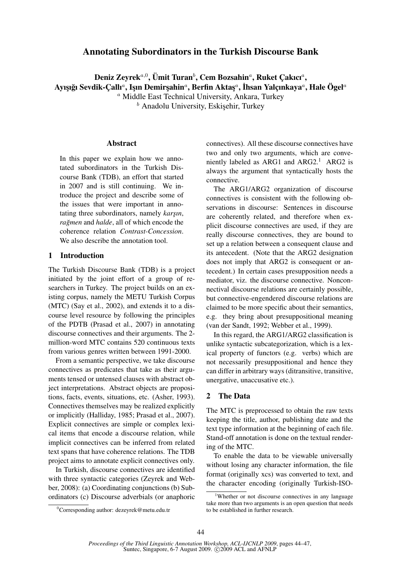# Annotating Subordinators in the Turkish Discourse Bank

Deniz Zeyrek $^{a,0}$ , Ümit Turan $^b$ , Cem Bozsahin $^a$ , Ruket Çakıcı $^a$ , Ayışığı Sevdik-Çallı $^a$ , Işın Demirşahin $^a$ , Berfin Aktaş $^a$ , İhsan Yalçınkaya $^a$ , Hale Ögel $^a$ 

<sup>a</sup> Middle East Technical University, Ankara, Turkey

 $<sup>b</sup>$  Anadolu University, Eskişehir, Turkey</sup>

### Abstract

In this paper we explain how we annotated subordinators in the Turkish Discourse Bank (TDB), an effort that started in 2007 and is still continuing. We introduce the project and describe some of the issues that were important in annotating three subordinators, namely *karşın*, *rağmen* and *halde*, all of which encode the coherence relation *Contrast-Concession*. We also describe the annotation tool.

### 1 Introduction

The Turkish Discourse Bank (TDB) is a project initiated by the joint effort of a group of researchers in Turkey. The project builds on an existing corpus, namely the METU Turkish Corpus (MTC) (Say et al., 2002), and extends it to a discourse level resource by following the principles of the PDTB (Prasad et al., 2007) in annotating discourse connectives and their arguments. The 2 million-word MTC contains 520 continuous texts from various genres written between 1991-2000.

From a semantic perspective, we take discourse connectives as predicates that take as their arguments tensed or untensed clauses with abstract object interpretations. Abstract objects are propositions, facts, events, situations, etc. (Asher, 1993). Connectives themselves may be realized explicitly or implicitly (Halliday, 1985; Prasad et al., 2007). Explicit connectives are simple or complex lexical items that encode a discourse relation, while implicit connectives can be inferred from related text spans that have coherence relations. The TDB project aims to annotate explicit connectives only.

In Turkish, discourse connectives are identified with three syntactic categories (Zeyrek and Webber, 2008): (a) Coordinating conjunctions (b) Subordinators (c) Discourse adverbials (or anaphoric connectives). All these discourse connectives have two and only two arguments, which are conveniently labeled as ARG1 and  $ARG2$ .<sup>1</sup> ARG2 is always the argument that syntactically hosts the connective.

The ARG1/ARG2 organization of discourse connectives is consistent with the following observations in discourse: Sentences in discourse are coherently related, and therefore when explicit discourse connectives are used, if they are really discourse connectives, they are bound to set up a relation between a consequent clause and its antecedent. (Note that the ARG2 designation does not imply that ARG2 is consequent or antecedent.) In certain cases presupposition needs a mediator, viz. the discourse connective. Nonconnectival discourse relations are certainly possible, but connective-engendered discourse relations are claimed to be more specific about their semantics, e.g. they bring about presuppositional meaning (van der Sandt, 1992; Webber et al., 1999).

In this regard, the ARG1/ARG2 classification is unlike syntactic subcategorization, which is a lexical property of functors (e.g. verbs) which are not necessarily presuppositional and hence they can differ in arbitrary ways (ditransitive, transitive, unergative, unaccusative etc.).

# 2 The Data

The MTC is preprocessed to obtain the raw texts keeping the title, author, publishing date and the text type information at the beginning of each file. Stand-off annotation is done on the textual rendering of the MTC.

To enable the data to be viewable universally without losing any character information, the file format (originally xcs) was converted to text, and the character encoding (originally Turkish-ISO-

<sup>&</sup>lt;sup>1</sup>Whether or not discourse connectives in any language take more than two arguments is an open question that needs to be established in further research.

<sup>&</sup>lt;sup>0</sup>Corresponding author: dezeyrek@metu.edu.tr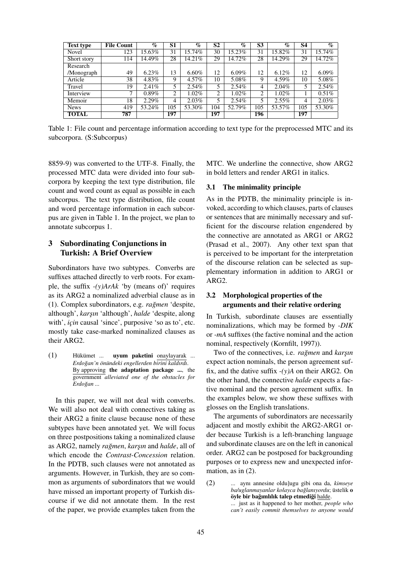| <b>Text type</b> | <b>File Count</b> | $\%$     | S <sub>1</sub> | $\%$     | $\overline{S2}$ | $\%$     | $\overline{\mathbf{S3}}$ | $\%$     | S4  | $\overline{\mathcal{C}_{\mathcal{D}}}$ |
|------------------|-------------------|----------|----------------|----------|-----------------|----------|--------------------------|----------|-----|----------------------------------------|
| 123<br>Novel     |                   | 15.63%   | 31             | 15.74%   | 30              | 15.23%   | 31                       | 15.82%   | 31  | 15.74%                                 |
| Short story      | 114               | 14.49%   | 28             | 14.21%   | 29              | 14.72%   | 28                       | 14.29%   | 29  | 14.72%                                 |
| Research         |                   |          |                |          |                 |          |                          |          |     |                                        |
| /Monograph       | 49                | 6.23%    | 13             | $6.60\%$ | 12              | $6.09\%$ | 12                       | 6.12%    | 12  | $6.09\%$                               |
| Article          | 38                | 4.83%    | 9              | 4.57%    | 10              | 5.08%    | 9                        | 4.59%    | 10  | 5.08%                                  |
| Travel           | 19                | 2.41%    | 5              | 2.54%    | 5               | 2.54%    | 4                        | 2.04%    | 5   | $2.54\%$                               |
| Interview        | $\mathbf{r}$      | $0.89\%$ | 2              | $1.02\%$ | $\overline{2}$  | 1.02%    | 2                        | $1.02\%$ |     | 0.51%                                  |
| Memoir           | 18                | 2.29%    | $\overline{4}$ | 2.03%    | 5               | 2.54%    | 5.                       | $2.55\%$ | 4   | 2.03%                                  |
| <b>News</b>      | 419               | 53.24%   | 105            | 53.30%   | 104             | 52.79%   | 105                      | 53.57%   | 105 | 53.30%                                 |
| <b>TOTAL</b>     | 787               |          | 197            |          | 197             |          | 196                      |          | 197 |                                        |

Table 1: File count and percentage information according to text type for the preprocessed MTC and its subcorpora. (S:Subcorpus)

8859-9) was converted to the UTF-8. Finally, the processed MTC data were divided into four subcorpora by keeping the text type distribution, file count and word count as equal as possible in each subcorpus. The text type distribution, file count and word percentage information in each subcorpus are given in Table 1. In the project, we plan to annotate subcorpus 1.

# 3 Subordinating Conjunctions in Turkish: A Brief Overview

Subordinators have two subtypes. Converbs are suffixes attached directly to verb roots. For example, the suffix *-(y)ArAk* 'by (means of)' requires as its ARG2 a nominalized adverbial clause as in (1). Complex subordinators, e.g. *ragmen ˘* 'despite, although', *kars¸ın* 'although', *halde* 'despite, along with', *için* causal 'since', purposive 'so as to', etc. mostly take case-marked nominalized clauses as their ARG2.

 $(1)$  Hükümet ... **uyum paketini** onaylayarak ... *Erdogan'n ˘ on¨ undeki engellerden birini kaldırdı ¨* . By approving the adaptation package ..., the government *alleviated one of the obstacles for*  $Erdoğan...$ 

In this paper, we will not deal with converbs. We will also not deal with connectives taking as their ARG2 a finite clause because none of these subtypes have been annotated yet. We will focus on three postpositions taking a nominalized clause as ARG2, namely *ragmen ˘* , *kars¸ın* and *halde*, all of which encode the *Contrast-Concession* relation. In the PDTB, such clauses were not annotated as arguments. However, in Turkish, they are so common as arguments of subordinators that we would have missed an important property of Turkish discourse if we did not annotate them. In the rest of the paper, we provide examples taken from the

MTC. We underline the connective, show ARG2 in bold letters and render ARG1 in italics.

### 3.1 The minimality principle

As in the PDTB, the minimality principle is invoked, according to which clauses, parts of clauses or sentences that are minimally necessary and sufficient for the discourse relation engendered by the connective are annotated as ARG1 or ARG2 (Prasad et al., 2007). Any other text span that is perceived to be important for the interpretation of the discourse relation can be selected as supplementary information in addition to ARG1 or ARG2.

### 3.2 Morphological properties of the arguments and their relative ordering

In Turkish, subordinate clauses are essentially nominalizations, which may be formed by *-DIK* or *-mA* suffixes (the factive nominal and the action nominal, respectively (Kornfilt, 1997)).

Two of the connectives, i.e. *rağmen* and *karşın* expect action nominals, the person agreement suffix, and the dative suffix *-(y)A* on their ARG2. On the other hand, the connective *halde* expects a factive nominal and the person agreement suffix. In the examples below, we show these suffixes with glosses on the English translations.

The arguments of subordinators are necessarily adjacent and mostly exhibit the ARG2-ARG1 order because Turkish is a left-branching language and subordinate clauses are on the left in canonical order. ARG2 can be postposed for backgrounding purposes or to express new and unexpected information, as in  $(2)$ .

(2) ... aynı annesine oldu]ugu gibi ona da, *kimseye ba/uglanmayanlar kolayca bağlanıyordu*; üstelik o öyle bir bağımlılık talep etmediği halde. ... just as it happened to her mother, *people who can't easily commit themselves to anyone would*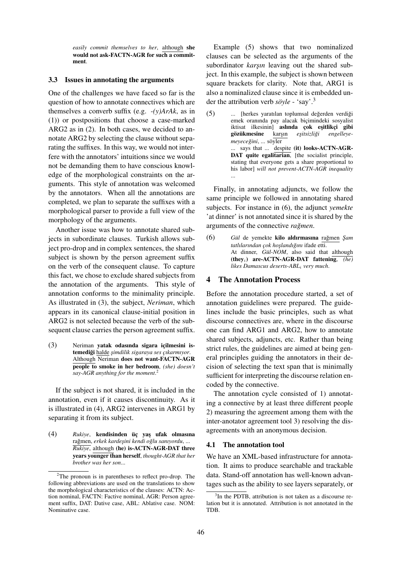*easily commit themselves to her*, although she would not ask-FACTN-AGR for such a commitment.

#### 3.3 Issues in annotating the arguments

One of the challenges we have faced so far is the question of how to annotate connectives which are themselves a converb suffix (e.g. *-(y)ArAk*, as in (1)) or postpositions that choose a case-marked ARG2 as in (2). In both cases, we decided to annotate ARG2 by selecting the clause without separating the suffixes. In this way, we would not interfere with the annotators' intuitions since we would not be demanding them to have conscious knowledge of the morphological constraints on the arguments. This style of annotation was welcomed by the annotators. When all the annotations are completed, we plan to separate the suffixes with a morphological parser to provide a full view of the morphology of the arguments.

Another issue was how to annotate shared subjects in subordinate clauses. Turkish allows subject pro-drop and in complex sentences, the shared subject is shown by the person agreement suffix on the verb of the consequent clause. To capture this fact, we chose to exclude shared subjects from the annotation of the arguments. This style of annotation conforms to the minimality principle. As illustrated in (3), the subject, *Neriman*, which appears in its canonical clause-initial position in ARG2 is not selected because the verb of the subsequent clause carries the person agreement suffix.

 $(3)$  Neriman yatak odasında sigara içilmesini istemediği halde şimdilik sigaraya ses çıkarmıyor. Although Neriman does not want-FACTN-AGR people to smoke in her bedroom, *(she) doesn't say-AGR anything for the moment*. 2

If the subject is not shared, it is included in the annotation, even if it causes discontinuity. As it is illustrated in (4), ARG2 intervenes in ARG1 by separating it from its subject.

(4) Rukiye, kendisinden üç yaş ufak olmasına rağmen, erkek kardeşini kendi oğlu sanıyordu, ... *Rukiye*, although (he) is-ACTN-AGR-DAT three years younger than herself, *thought-AGR that her brother was her son*...

Example (5) shows that two nominalized clauses can be selected as the arguments of the subordinator *karşın* leaving out the shared subject. In this example, the subject is shown between square brackets for clarity. Note that, ARG1 is also a nominalized clause since it is embedded under the attribution verb *söyle* - 'say'.<sup>3</sup>

(5) ... [herkes yaratılan toplumsal değerden verdiği emek oranında pay alacak biçimindeki sosyalist iktisat ilkesinin] **aslında çok eşitlikçi gibi**<br>**gözükmesine** karşın *eşitsizliği engelleye*gözükmesine karşın eşitsizliği engelleye $m$ eyeceğini, ... söyler ... says that ... despite (it) looks-ACTN-AGR-DAT quite egalitarian, [the socialist principle, stating that everyone gets a share proportional to his labor] *will not prevent-ACTN-AGR inequality* ...

Finally, in annotating adjuncts, we follow the same principle we followed in annotating shared subjects. For instance in (6), the adjunct *yemekte* 'at dinner' is not annotated since it is shared by the arguments of the connective *ragmen*.

(6) *Gül* de yemekte kilo aldırmasına rağmen Şam *tatlılarından c¸ok hos¸landıgını ˘* ifade etti. At dinner, Gül-NOM, also said that although (theyi) are-ACTN-AGR-DAT fattening, *(he) likes Damascus deserts-ABL*<sup>i</sup> *very much*.

### 4 The Annotation Process

Before the annotation procedure started, a set of annotation guidelines were prepared. The guidelines include the basic principles, such as what discourse connectives are, where in the discourse one can find ARG1 and ARG2, how to annotate shared subjects, adjuncts, etc. Rather than being strict rules, the guidelines are aimed at being general principles guiding the annotators in their decision of selecting the text span that is minimally sufficient for interpreting the discourse relation encoded by the connective.

The annotation cycle consisted of 1) annotating a connective by at least three different people 2) measuring the agreement among them with the inter-anotator agreement tool 3) resolving the disagreements with an anonymous decision.

#### 4.1 The annotation tool

We have an XML-based infrastructure for annotation. It aims to produce searchable and trackable data. Stand-off annotation has well-known advantages such as the ability to see layers separately, or

 $2$ The pronoun is in parentheses to reflect pro-drop. The following abbreviations are used on the translations to show the morphological characteristics of the clauses: ACTN: Action nominal, FACTN: Factive nominal, AGR: Person agreement suffix, DAT: Dative case, ABL: Ablative case. NOM: Nominative case.

<sup>&</sup>lt;sup>3</sup>In the PDTB, attribution is not taken as a discourse relation but it is annotated. Attribution is not annotated in the TDB.